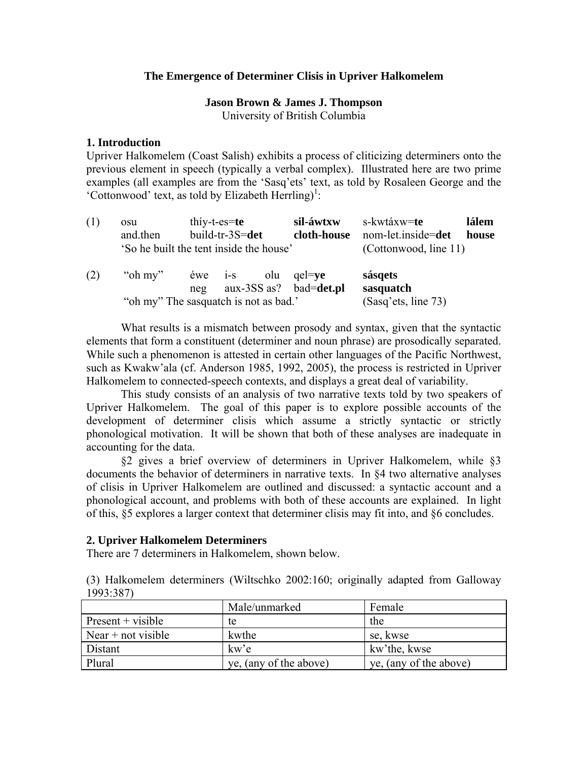### The Emergence of Determiner Clisis in Upriver Halkomelem

# Jason Brown & James J. Thompson

University of British Columbia

### 1. Introduction

Upriver Halkomelem (Coast Salish) exhibits a process of cliticizing determiners onto the previous element in speech (typically a verbal complex). Illustrated here are two prime examples (all examples are from the 'Sasq'ets' text, as told by Rosaleen George and the 'Cottonwood' text, as told by Elizabeth Herrling)<sup>1</sup>:

| (1) | osu<br>and then | thiy-t- $es = te$<br>build-tr-3S=det<br>'So he built the tent inside the house'              | sil-áwtxw<br>cloth-house | s-kwtáxw= <b>te</b><br>lálem<br>nom-let.inside=det<br>house<br>(Cottonwood, line 11) |
|-----|-----------------|----------------------------------------------------------------------------------------------|--------------------------|--------------------------------------------------------------------------------------|
| (2) | "oh my"         | olu<br>$ewe$ 1-S<br>$aux-3SS$ as? bad=det.pl<br>neg<br>"oh my" The sasquatch is not as bad." | $qe = ve$                | sásqets<br>sasquatch<br>(Sasq'ets, line 73)                                          |

What results is a mismatch between prosody and syntax, given that the syntactic elements that form a constituent (determiner and noun phrase) are prosodically separated. While such a phenomenon is attested in certain other languages of the Pacific Northwest, such as Kwakw'ala (cf. Anderson 1985, 1992, 2005), the process is restricted in Upriver Halkomelem to connected-speech contexts, and displays a great deal of variability.

This study consists of an analysis of two narrative texts told by two speakers of Upriver Halkomelem. The goal of this paper is to explore possible accounts of the development of determiner clisis which assume a strictly syntactic or strictly phonological motivation. It will be shown that both of these analyses are inadequate in accounting for the data.

§2 gives a brief overview of determiners in Upriver Halkomelem, while §3 documents the behavior of determiners in narrative texts. In §4 two alternative analyses of clisis in Upriver Halkomelem are outlined and discussed: a syntactic account and a phonological account, and problems with both of these accounts are explained. In light of this, §5 explores a larger context that determiner clisis may fit into, and §6 concludes.

### 2. Upriver Halkomelem Determiners

There are 7 determiners in Halkomelem, shown below.

(3) Halkomelem determiners (Wiltschko 2002:160; originally adapted from Galloway  $1993:387$ 

|                      | Male/unmarked          | Female                 |
|----------------------|------------------------|------------------------|
| $Present + visible$  | te                     | the                    |
| Near $+$ not visible | kwthe                  | se, kwse               |
| Distant              | kw'e                   | kw'the, kwse           |
| Plural               | ye, (any of the above) | ye, (any of the above) |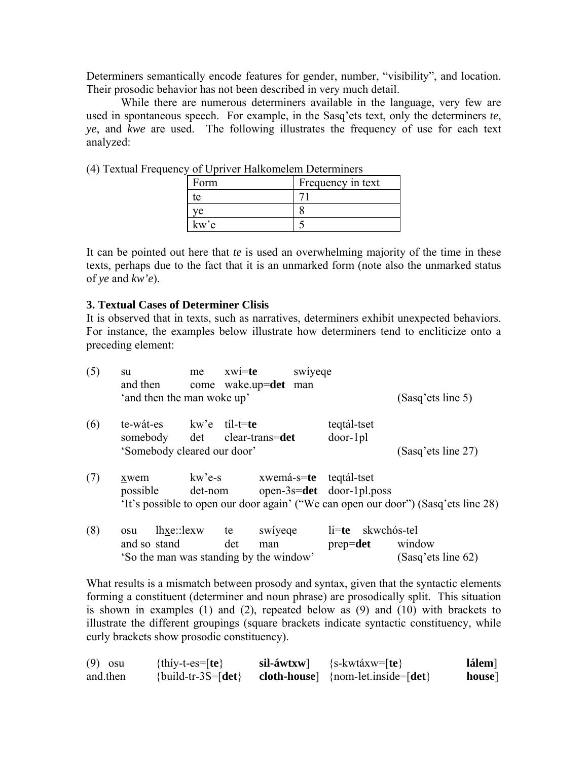Determiners semantically encode features for gender, number, "visibility", and location. Their prosodic behavior has not been described in very much detail.

While there are numerous determiners available in the language, very few are used in spontaneous speech. For example, in the Sasq'ets text, only the determiners te, ve, and kwe are used. The following illustrates the frequency of use for each text analyzed:

| Form | Frequency in text |
|------|-------------------|
| tе   |                   |
| ve   |                   |
| kw'e |                   |

(4) Textual Frequency of Upriver Halkomelem Determiners

It can be pointed out here that *te* is used an overwhelming majority of the time in these texts, perhaps due to the fact that it is an unmarked form (note also the unmarked status of ye and  $kw'e$ ).

#### **3. Textual Cases of Determiner Clisis**

It is observed that in texts, such as narratives, determiners exhibit unexpected behaviors. For instance, the examples below illustrate how determiners tend to encliticize onto a preceding element:

| (5) | su<br>and then                                                               | me                | $xw$ í=te<br>come wake.up=det man | swiyeqe |                                                        |                                                                                    |
|-----|------------------------------------------------------------------------------|-------------------|-----------------------------------|---------|--------------------------------------------------------|------------------------------------------------------------------------------------|
|     | 'and then the man woke up'                                                   |                   |                                   |         |                                                        | (Sasq'ets line 5)                                                                  |
| (6) | te-wát-es<br>somebody det clear-trans=det<br>'Somebody cleared our door'     | kw'e til-t=te     |                                   |         | teqtál-tset<br>$door-1pl$                              | (Sasq'ets line 27)                                                                 |
|     |                                                                              |                   |                                   |         |                                                        |                                                                                    |
| (7) | xwem<br>possible                                                             | kw'e-s<br>det-nom |                                   |         | xwemá-s=te teqtál-tset<br>open-3s= $det$ door-1pl.poss | 'It's possible to open our door again' ("We can open our door") (Sasq'ets line 28) |
| (8) | lhxe::lexw<br>osu<br>and so stand<br>'So the man was standing by the window' |                   | swiyeqe<br>te<br>det<br>man       |         | $li=te$ skwchós-tel<br>$prep = det$                    | window<br>(Sasq'ets line 62)                                                       |

What results is a mismatch between prosody and syntax, given that the syntactic elements forming a constituent (determiner and noun phrase) are prosodically split. This situation is shown in examples  $(1)$  and  $(2)$ , repeated below as  $(9)$  and  $(10)$  with brackets to illustrate the different groupings (square brackets indicate syntactic constituency, while curly brackets show prosodic constituency).

| $(9)$ osu | $\{$ thíy-t-es= $[$ te $\}$ | $sil-áwtxw$ | $\{s\text{-}kwtáxw = [te]\}$                             | lálem] |
|-----------|-----------------------------|-------------|----------------------------------------------------------|--------|
| and then  | $\{build-tr-3S = [det]\}$   |             | cloth-house $\{nom-let \in inside = \lceil det \rceil\}$ | house] |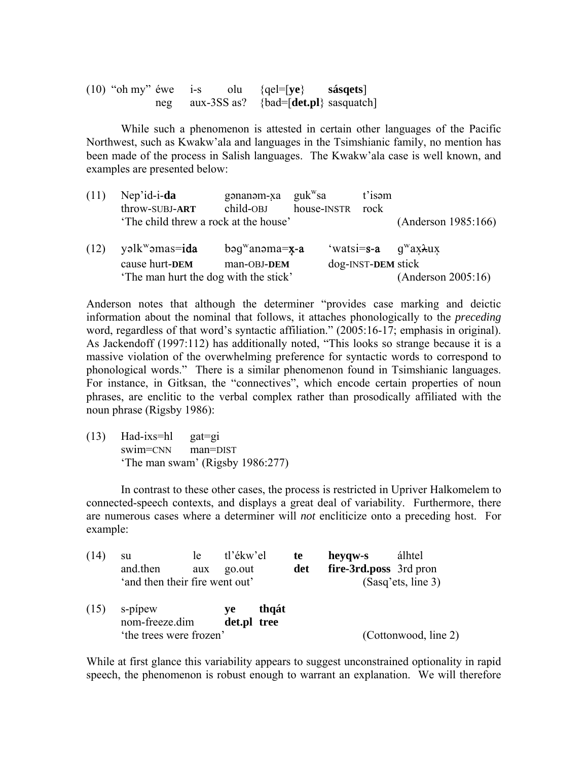| $(10)$ "oh my" éwe |     | $1-S$ | olu $\{qel = [ye\}$                            | sásqets] |
|--------------------|-----|-------|------------------------------------------------|----------|
|                    | neg |       | aux-3SS as? {bad= $\text{[det.pl]}$ sasquatch] |          |

 While such a phenomenon is attested in certain other languages of the Pacific Northwest, such as Kwakw'ala and languages in the Tsimshianic family, no mention has been made of the process in Salish languages. The Kwakw'ala case is well known, and examples are presented below:

| (11) | Nep'id-i-da<br>throw-SUBJ-ART         | gənanəm-xa $guk$ <sup>w</sup> sa<br>child-OBJ | house-INSTR rock | t'isam                                   |                     |
|------|---------------------------------------|-----------------------------------------------|------------------|------------------------------------------|---------------------|
|      | 'The child threw a rock at the house' |                                               |                  |                                          | (Anderson 1985:166) |
| (12) | yəlk <sup>w</sup> əmas= <b>ida</b>    | $bag^{\rm w}$ anəma= <b>x-a</b>               |                  | 'watsi= $s-a$ $q^{\rm w}a x \lambda u x$ |                     |
|      | cause hurt-DEM                        | man-OBJ-DEM                                   |                  | dog-INST-DEM stick                       |                     |
|      | The man hurt the dog with the stick'  | (Anderson 2005:16)                            |                  |                                          |                     |

Anderson notes that although the determiner "provides case marking and deictic information about the nominal that follows, it attaches phonologically to the *preceding* word, regardless of that word's syntactic affiliation." (2005:16-17; emphasis in original). As Jackendoff (1997:112) has additionally noted, "This looks so strange because it is a massive violation of the overwhelming preference for syntactic words to correspond to phonological words." There is a similar phenomenon found in Tsimshianic languages. For instance, in Gitksan, the "connectives", which encode certain properties of noun phrases, are enclitic to the verbal complex rather than prosodically affiliated with the noun phrase (Rigsby 1986):

(13) Had-ixs=hl gat=gi swim=CNN man=DIST 'The man swam' (Rigsby 1986:277)

 In contrast to these other cases, the process is restricted in Upriver Halkomelem to connected-speech contexts, and displays a great deal of variability. Furthermore, there are numerous cases where a determiner will *not* encliticize onto a preceding host. For example:

| (14) | su<br>and then<br>'and then their fire went out' | le le<br>aux | tl'ékw'el<br>go.out |       | te<br>det | heyqw-s<br>fire-3rd.poss 3rd pron | álhtel<br>(Sasq'ets, line 3) |
|------|--------------------------------------------------|--------------|---------------------|-------|-----------|-----------------------------------|------------------------------|
| (15) | s-pipew<br>nom-freeze.dim                        |              | ve<br>det.pl tree   | thqát |           |                                   |                              |
|      | 'the trees were frozen'                          |              |                     |       |           |                                   | (Cottonwood, line 2)         |

While at first glance this variability appears to suggest unconstrained optionality in rapid speech, the phenomenon is robust enough to warrant an explanation. We will therefore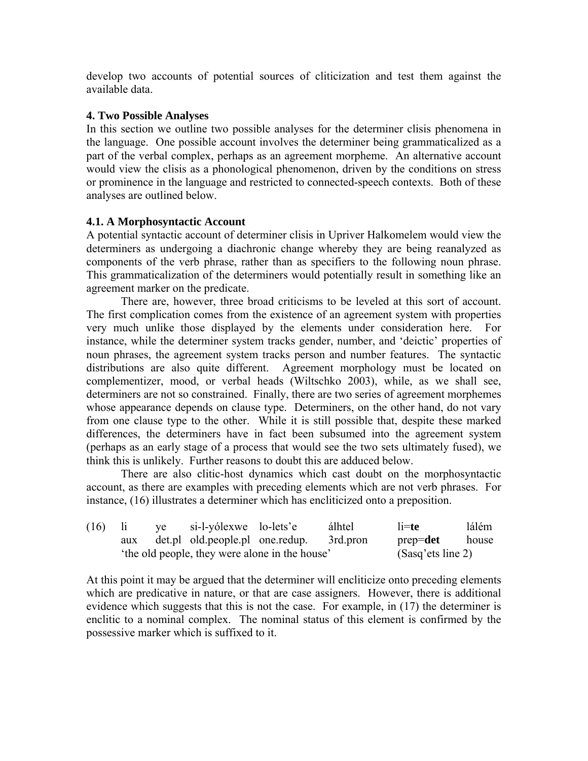develop two accounts of potential sources of cliticization and test them against the available data.

## **4. Two Possible Analyses**

In this section we outline two possible analyses for the determiner clisis phenomena in the language. One possible account involves the determiner being grammaticalized as a part of the verbal complex, perhaps as an agreement morpheme. An alternative account would view the clisis as a phonological phenomenon, driven by the conditions on stress or prominence in the language and restricted to connected-speech contexts. Both of these analyses are outlined below.

## **4.1. A Morphosyntactic Account**

A potential syntactic account of determiner clisis in Upriver Halkomelem would view the determiners as undergoing a diachronic change whereby they are being reanalyzed as components of the verb phrase, rather than as specifiers to the following noun phrase. This grammaticalization of the determiners would potentially result in something like an agreement marker on the predicate.

 There are, however, three broad criticisms to be leveled at this sort of account. The first complication comes from the existence of an agreement system with properties very much unlike those displayed by the elements under consideration here. For instance, while the determiner system tracks gender, number, and 'deictic' properties of noun phrases, the agreement system tracks person and number features. The syntactic distributions are also quite different. Agreement morphology must be located on complementizer, mood, or verbal heads (Wiltschko 2003), while, as we shall see, determiners are not so constrained. Finally, there are two series of agreement morphemes whose appearance depends on clause type. Determiners, on the other hand, do not vary from one clause type to the other. While it is still possible that, despite these marked differences, the determiners have in fact been subsumed into the agreement system (perhaps as an early stage of a process that would see the two sets ultimately fused), we think this is unlikely. Further reasons to doubt this are adduced below.

 There are also clitic-host dynamics which cast doubt on the morphosyntactic account, as there are examples with preceding elements which are not verb phrases. For instance, (16) illustrates a determiner which has encliticized onto a preposition.

| (16) | - 11                                          | ye si-l-yólexwe lo-lets'e |                                          | álhtel | $l$ i=te     | lálém |
|------|-----------------------------------------------|---------------------------|------------------------------------------|--------|--------------|-------|
|      | aux                                           |                           | det.pl old.people.pl one.redup. 3rd.pron |        | $prep = det$ | house |
|      | the old people, they were alone in the house' |                           | (Sasq'ets line 2)                        |        |              |       |

At this point it may be argued that the determiner will encliticize onto preceding elements which are predicative in nature, or that are case assigners. However, there is additional evidence which suggests that this is not the case. For example, in (17) the determiner is enclitic to a nominal complex. The nominal status of this element is confirmed by the possessive marker which is suffixed to it.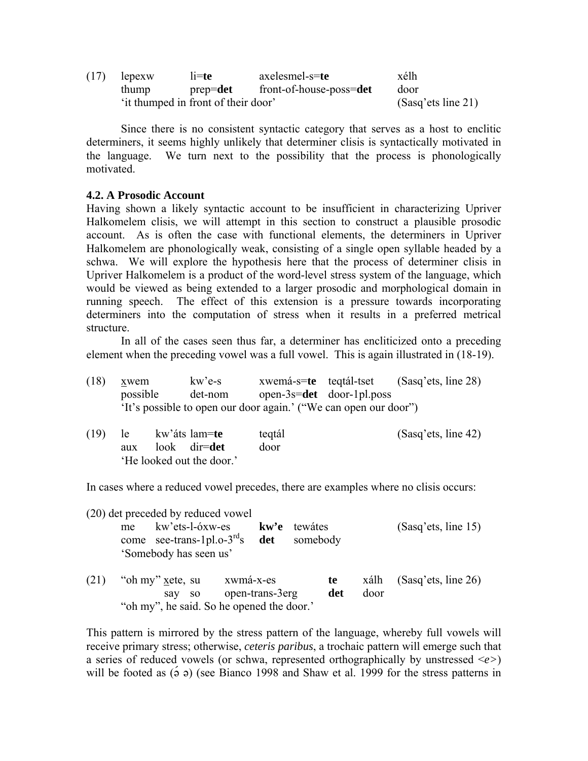| (17)                                | lepexw | $l$ <i>i</i> =te | axelesmel-s=te                   | xélh               |
|-------------------------------------|--------|------------------|----------------------------------|--------------------|
|                                     | thump  |                  | prep=det front-of-house-poss=det | door               |
| 'it thumped in front of their door' |        |                  |                                  | (Sasq'ets line 21) |

 Since there is no consistent syntactic category that serves as a host to enclitic determiners, it seems highly unlikely that determiner clisis is syntactically motivated in the language. We turn next to the possibility that the process is phonologically motivated.

### **4.2. A Prosodic Account**

Having shown a likely syntactic account to be insufficient in characterizing Upriver Halkomelem clisis, we will attempt in this section to construct a plausible prosodic account. As is often the case with functional elements, the determiners in Upriver Halkomelem are phonologically weak, consisting of a single open syllable headed by a schwa. We will explore the hypothesis here that the process of determiner clisis in Upriver Halkomelem is a product of the word-level stress system of the language, which would be viewed as being extended to a larger prosodic and morphological domain in running speech. The effect of this extension is a pressure towards incorporating determiners into the computation of stress when it results in a preferred metrical structure.

 In all of the cases seen thus far, a determiner has encliticized onto a preceding element when the preceding vowel was a full vowel. This is again illustrated in (18-19).

| (18) | xwem     | kw'e-s  | xwemá-s=te teqtál-tset                                           |                           | (Sasq'ets, line 28) |
|------|----------|---------|------------------------------------------------------------------|---------------------------|---------------------|
|      | possible | det-nom |                                                                  | open-3s=det door-1pl.poss |                     |
|      |          |         | 'It's possible to open our door again.' ("We can open our door") |                           |                     |

| (19) | le le | kw'áts lam= <b>te</b>    | tegtál | (Sasq'ets, line 42) |
|------|-------|--------------------------|--------|---------------------|
|      | aux   | look dir= <b>det</b>     | door   |                     |
|      |       | He looked out the door.' |        |                     |

In cases where a reduced vowel precedes, there are examples where no clisis occurs:

(20) det preceded by reduced vowel

 me kw'ets-l-óxw-es **kw'e** tewátes (Sasq'ets, line 15) come see-trans-1pl.o-3rds **det** somebody 'Somebody has seen us'

(21) "oh my " xete, su xwmá-x-es **te** xálh (Sasq'ets, line 26) say so open-trans-3erg **det** door "oh my", he said. So he opened the door.'

This pattern is mirrored by the stress pattern of the language, whereby full vowels will receive primary stress; otherwise, *ceteris paribus*, a trochaic pattern will emerge such that a series of reduced vowels (or schwa, represented orthographically by unstressed <*e>*) will be footed as  $(2, 9)$  (see Bianco 1998 and Shaw et al. 1999 for the stress patterns in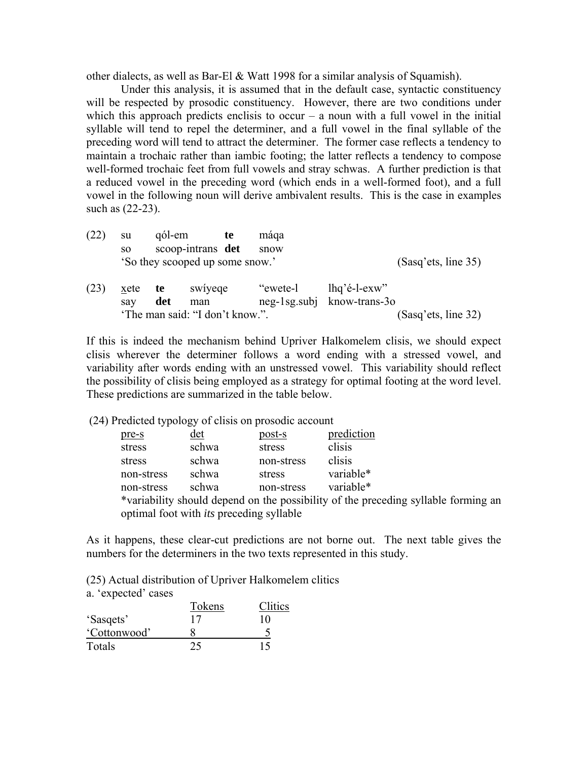other dialects, as well as Bar-El & Watt 1998 for a similar analysis of Squamish).

 Under this analysis, it is assumed that in the default case, syntactic constituency will be respected by prosodic constituency. However, there are two conditions under which this approach predicts enclisis to occur – a noun with a full vowel in the initial syllable will tend to repel the determiner, and a full vowel in the final syllable of the preceding word will tend to attract the determiner. The former case reflects a tendency to maintain a trochaic rather than iambic footing; the latter reflects a tendency to compose well-formed trochaic feet from full vowels and stray schwas. A further prediction is that a reduced vowel in the preceding word (which ends in a well-formed foot), and a full vowel in the following noun will derive ambivalent results. This is the case in examples such as (22-23).

| (22) | su                              | qól-em |                   | te | máqa     |                            |                     |
|------|---------------------------------|--------|-------------------|----|----------|----------------------------|---------------------|
|      | <sub>SO</sub>                   |        | scoop-intrans det |    | snow     |                            |                     |
|      | 'So they scooped up some snow.' |        |                   |    |          | (Sasq'ets, line 35)        |                     |
| (23) | xete                            | te     | swiyege           |    | "ewete-l | $lhq'$ é-l-exw''           |                     |
|      | say                             | det    | man               |    |          | neg-1sg.subj know-trans-30 |                     |
|      | 'The man said: "I don't know.". |        |                   |    |          |                            | (Sasq'ets, line 32) |

If this is indeed the mechanism behind Upriver Halkomelem clisis, we should expect clisis wherever the determiner follows a word ending with a stressed vowel, and variability after words ending with an unstressed vowel. This variability should reflect the possibility of clisis being employed as a strategy for optimal footing at the word level. These predictions are summarized in the table below.

(24) Predicted typology of clisis on prosodic account

| prediction<br><u>det</u><br>post-s<br>pre-s                                        |  |
|------------------------------------------------------------------------------------|--|
| clisis<br>schwa<br>stress<br>stress                                                |  |
| clisis<br>schwa<br>non-stress<br>stress                                            |  |
| variable*<br>schwa<br>non-stress<br>stress                                         |  |
| variable*<br>schwa<br>non-stress<br>non-stress                                     |  |
| *variability should depend on the possibility of the preceding syllable forming an |  |
| optimal foot with <i>its</i> preceding syllable                                    |  |

As it happens, these clear-cut predictions are not borne out. The next table gives the numbers for the determiners in the two texts represented in this study.

(25) Actual distribution of Upriver Halkomelem clitics

a. 'expected' cases

|              | Tokens | Clitics |
|--------------|--------|---------|
| 'Sasqets'    |        | 10      |
| 'Cottonwood' |        |         |
| Totals       |        | 15      |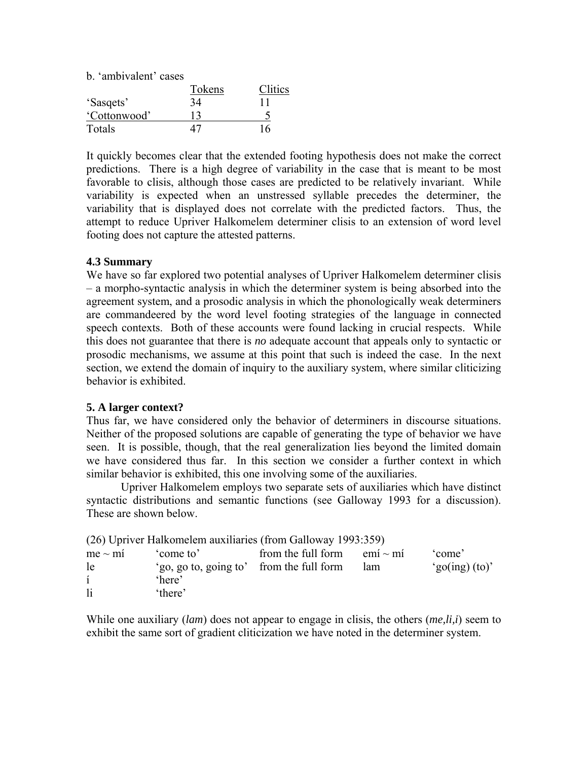b. 'ambivalent' cases

|              | Tokens | Clitics |
|--------------|--------|---------|
| 'Sasqets'    | 34     |         |
| 'Cottonwood' |        |         |
| Totals       |        | 16      |

It quickly becomes clear that the extended footing hypothesis does not make the correct predictions. There is a high degree of variability in the case that is meant to be most favorable to clisis, although those cases are predicted to be relatively invariant. While variability is expected when an unstressed syllable precedes the determiner, the variability that is displayed does not correlate with the predicted factors. Thus, the attempt to reduce Upriver Halkomelem determiner clisis to an extension of word level footing does not capture the attested patterns.

#### **4.3 Summary**

We have so far explored two potential analyses of Upriver Halkomelem determiner clisis – a morpho-syntactic analysis in which the determiner system is being absorbed into the agreement system, and a prosodic analysis in which the phonologically weak determiners are commandeered by the word level footing strategies of the language in connected speech contexts. Both of these accounts were found lacking in crucial respects. While this does not guarantee that there is *no* adequate account that appeals only to syntactic or prosodic mechanisms, we assume at this point that such is indeed the case. In the next section, we extend the domain of inquiry to the auxiliary system, where similar cliticizing behavior is exhibited.

#### **5. A larger context?**

Thus far, we have considered only the behavior of determiners in discourse situations. Neither of the proposed solutions are capable of generating the type of behavior we have seen. It is possible, though, that the real generalization lies beyond the limited domain we have considered thus far. In this section we consider a further context in which similar behavior is exhibited, this one involving some of the auxiliaries.

 Upriver Halkomelem employs two separate sets of auxiliaries which have distinct syntactic distributions and semantic functions (see Galloway 1993 for a discussion). These are shown below.

|              | (26) Upriver Halkomelem auxiliaries (from Galloway 1993:359) |                                  |     |                         |
|--------------|--------------------------------------------------------------|----------------------------------|-----|-------------------------|
| $me \sim mi$ | come to'                                                     | from the full form $emi \sim mi$ |     | 'come'                  |
| le           | 'go, go to, going to' from the full form                     |                                  | lam | $\degree$ go(ing) (to)' |
| $\mathbf{i}$ | 'here'                                                       |                                  |     |                         |
| $\mathbf{1}$ | 'there'                                                      |                                  |     |                         |

While one auxiliary (*lam*) does not appear to engage in clisis, the others (*me,li,i*) seem to exhibit the same sort of gradient cliticization we have noted in the determiner system.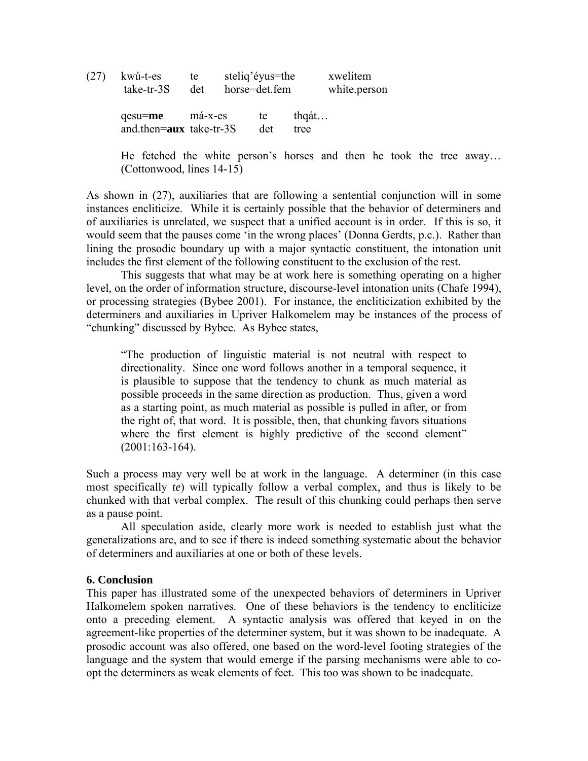| (27 | kwú-t-es                           | te      | steliq'éyus=the |           |                  | xwelitem     |
|-----|------------------------------------|---------|-----------------|-----------|------------------|--------------|
|     | take-tr-3S                         | det     | horse=det.fem   |           |                  | white.person |
|     | qesu=me<br>and then=aux take-tr-3S | má-x-es |                 | te<br>det | $thq$ át<br>tree |              |

 He fetched the white person's horses and then he took the tree away… (Cottonwood, lines 14-15)

As shown in (27), auxiliaries that are following a sentential conjunction will in some instances encliticize. While it is certainly possible that the behavior of determiners and of auxiliaries is unrelated, we suspect that a unified account is in order. If this is so, it would seem that the pauses come 'in the wrong places' (Donna Gerdts, p.c.). Rather than lining the prosodic boundary up with a major syntactic constituent, the intonation unit includes the first element of the following constituent to the exclusion of the rest.

 This suggests that what may be at work here is something operating on a higher level, on the order of information structure, discourse-level intonation units (Chafe 1994), or processing strategies (Bybee 2001). For instance, the encliticization exhibited by the determiners and auxiliaries in Upriver Halkomelem may be instances of the process of "chunking" discussed by Bybee. As Bybee states,

 "The production of linguistic material is not neutral with respect to directionality. Since one word follows another in a temporal sequence, it is plausible to suppose that the tendency to chunk as much material as possible proceeds in the same direction as production. Thus, given a word as a starting point, as much material as possible is pulled in after, or from the right of, that word. It is possible, then, that chunking favors situations where the first element is highly predictive of the second element" (2001:163-164).

Such a process may very well be at work in the language. A determiner (in this case most specifically *te*) will typically follow a verbal complex, and thus is likely to be chunked with that verbal complex. The result of this chunking could perhaps then serve as a pause point.

 All speculation aside, clearly more work is needed to establish just what the generalizations are, and to see if there is indeed something systematic about the behavior of determiners and auxiliaries at one or both of these levels.

### **6. Conclusion**

This paper has illustrated some of the unexpected behaviors of determiners in Upriver Halkomelem spoken narratives. One of these behaviors is the tendency to encliticize onto a preceding element. A syntactic analysis was offered that keyed in on the agreement-like properties of the determiner system, but it was shown to be inadequate. A prosodic account was also offered, one based on the word-level footing strategies of the language and the system that would emerge if the parsing mechanisms were able to coopt the determiners as weak elements of feet. This too was shown to be inadequate.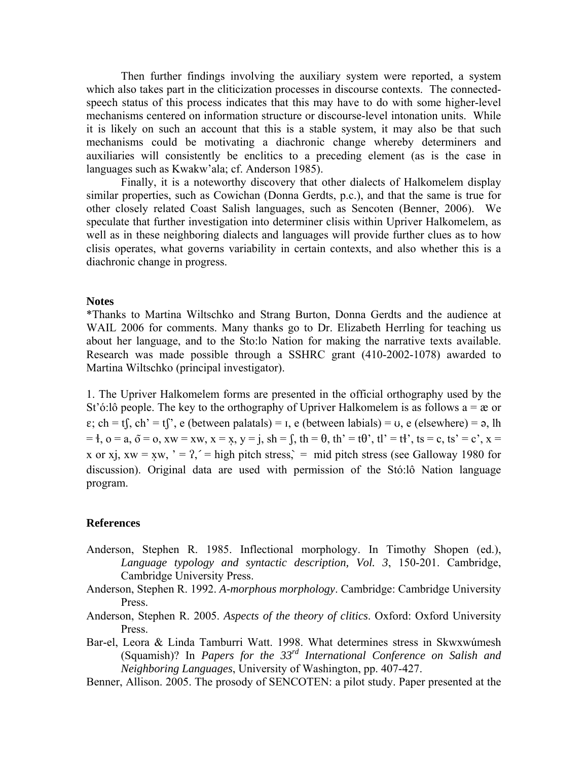Then further findings involving the auxiliary system were reported, a system which also takes part in the cliticization processes in discourse contexts. The connectedspeech status of this process indicates that this may have to do with some higher-level mechanisms centered on information structure or discourse-level intonation units. While it is likely on such an account that this is a stable system, it may also be that such mechanisms could be motivating a diachronic change whereby determiners and auxiliaries will consistently be enclitics to a preceding element (as is the case in languages such as Kwakw'ala; cf. Anderson 1985).

 Finally, it is a noteworthy discovery that other dialects of Halkomelem display similar properties, such as Cowichan (Donna Gerdts, p.c.), and that the same is true for other closely related Coast Salish languages, such as Sencoten (Benner, 2006). We speculate that further investigation into determiner clisis within Upriver Halkomelem, as well as in these neighboring dialects and languages will provide further clues as to how clisis operates, what governs variability in certain contexts, and also whether this is a diachronic change in progress.

#### **Notes**

\*Thanks to Martina Wiltschko and Strang Burton, Donna Gerdts and the audience at WAIL 2006 for comments. Many thanks go to Dr. Elizabeth Herrling for teaching us about her language, and to the Sto:lo Nation for making the narrative texts available. Research was made possible through a SSHRC grant (410-2002-1078) awarded to Martina Wiltschko (principal investigator).

1. The Upriver Halkomelem forms are presented in the official orthography used by the St'ó:lô people. The key to the orthography of Upriver Halkomelem is as follows  $a = \alpha$  or  $\varepsilon$ ; ch = tf, ch' = tf', e (between palatals) =  $\iota$ , e (between labials) =  $\upsilon$ , e (elsewhere) =  $\varphi$ , lh  $= 4$ ,  $o = a$ ,  $\tilde{o} = o$ ,  $xw = xw$ ,  $x = x$ ,  $y = j$ ,  $sh = f$ ,  $th = \theta$ ,  $th' = t\theta'$ ,  $tl' = t\theta'$ ,  $ts = c$ ,  $ts' = c'$ ,  $x = t$ x or xj, xw = xw, ' = ?,' = high pitch stress, = mid pitch stress (see Galloway 1980 for discussion). Original data are used with permission of the Stó:lô Nation language program.

#### **References**

- Anderson, Stephen R. 1985. Inflectional morphology. In Timothy Shopen (ed.), *Language typology and syntactic description, Vol. 3*, 150-201. Cambridge, Cambridge University Press.
- Anderson, Stephen R. 1992. *A-morphous morphology*. Cambridge: Cambridge University Press.
- Anderson, Stephen R. 2005. *Aspects of the theory of clitics*. Oxford: Oxford University Press.
- Bar-el, Leora & Linda Tamburri Watt. 1998. What determines stress in Skwxwúmesh (Squamish)? In *Papers for the 33rd International Conference on Salish and Neighboring Languages*, University of Washington, pp. 407-427.
- Benner, Allison. 2005. The prosody of SENCOTEN: a pilot study. Paper presented at the